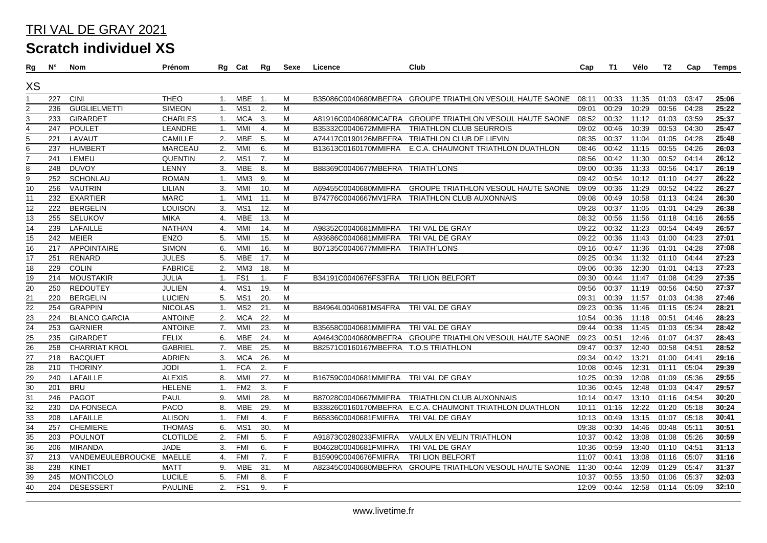## TRI VAL DE GRAY 2021

**Scratch individuel XS**

| Rg              | Ν°  | Nom                      | Prénom          |                  | Rg Cat          | Rg               | Sexe | Licence                              | Club                                                     | Cap   | T1    | Vélo  | T2    | Cap   | Temps |
|-----------------|-----|--------------------------|-----------------|------------------|-----------------|------------------|------|--------------------------------------|----------------------------------------------------------|-------|-------|-------|-------|-------|-------|
| XS              |     |                          |                 |                  |                 |                  |      |                                      |                                                          |       |       |       |       |       |       |
|                 | 227 | CINI                     | <b>THEO</b>     | $\mathbf{1}$ .   | MBE             | $\overline{1}$ . | M    |                                      | B35086C0040680MBEFRA GROUPE TRIATHLON VESOUL HAUTE SAONE | 08:11 | 00:33 | 11:35 | 01:03 | 03:47 | 25:06 |
| $\overline{2}$  | 236 | <b>GUGLIELMETTI</b>      | <b>SIMEON</b>   | $\mathbf{1}$ .   | MS1             | 2.               | M    |                                      |                                                          | 09:01 | 00:29 | 10:29 | 00:56 | 04:28 | 25:22 |
| 3               | 233 | <b>GIRARDET</b>          | <b>CHARLES</b>  | 1.               | <b>MCA</b>      | 3.               | M    |                                      | A81916C0040680MCAFRA GROUPE TRIATHLON VESOUL HAUTE SAONE | 08:52 | 00:32 | 11:12 | 01:03 | 03:59 | 25:37 |
| $\overline{4}$  | 247 | <b>POULET</b>            | LEANDRE         | 1.               | <b>MMI</b>      | 4.               | M    | B35332C0040672MMIFRA                 | <b>TRIATHLON CLUB SEURROIS</b>                           | 09:02 | 00:46 | 10:39 | 00:53 | 04:30 | 25:47 |
| 5               | 221 | LAVAUT                   | <b>CAMILLE</b>  | 2.               | <b>MBE</b>      | 5.               | м    |                                      | A74417C0190126MBEFRA TRIATHLON CLUB DE LIEVIN            | 08:35 | 00:37 | 11:04 | 01:05 | 04:28 | 25:48 |
| 6               | 237 | <b>HUMBERT</b>           | <b>MARCEAU</b>  | 2.               | MMI             | 6.               | M    | B13613C0160170MMIFRA                 | E.C.A. CHAUMONT TRIATHLON DUATHLON                       | 08:46 | 00:42 | 11:15 | 00:55 | 04:26 | 26:03 |
| $\overline{7}$  | 241 | LEMEU                    | <b>QUENTIN</b>  | 2.               | MS1             | 7.               | M    |                                      |                                                          | 08:56 | 00:42 | 11:30 | 00:52 | 04:14 | 26:12 |
| 8               | 248 | <b>DUVOY</b>             | LENNY           | 3.               | MBE             | 8.               | M    | B88369C0040677MBEFRA TRIATH`LONS     |                                                          | 09:00 | 00:36 | 11:33 | 00:56 | 04:17 | 26:19 |
| 9               | 252 | <b>SCHONLAU</b>          | <b>ROMAN</b>    | $\mathbf{1}$ .   | MM3             | 9.               | M    |                                      |                                                          | 09:42 | 00:54 | 10:12 | 01:10 | 04:27 | 26:22 |
| $\overline{10}$ | 256 | <b>VAUTRIN</b>           | LILIAN          | 3.               | MMI             | 10.              | M    | A69455C0040680MMIFRA                 | <b>GROUPE TRIATHLON VESOUL HAUTE SAONE</b>               | 09:09 | 00:36 | 11:29 | 00:52 | 04:22 | 26:27 |
| 11              | 232 | <b>EXARTIER</b>          | <b>MARC</b>     | $\mathbf{1}$ .   | MM1             | 11.              | M    |                                      | B74776C0040667MV1FRA TRIATHLON CLUB AUXONNAIS            | 09:08 | 00:49 | 10:58 | 01:13 | 04:24 | 26:30 |
| $\overline{12}$ | 222 | <b>BERGELIN</b>          | <b>LOUISON</b>  | 3.               | MS <sub>1</sub> | 12.              | M    |                                      |                                                          | 09:28 | 00:37 | 11:05 | 01:01 | 04:29 | 26:38 |
| 13              | 255 | <b>SELUKOV</b>           | <b>MIKA</b>     | 4.               | <b>MBE</b>      | 13.              | M    |                                      |                                                          | 08:32 | 00:56 | 11:56 | 01:18 | 04:16 | 26:55 |
| 14              | 239 | <b>LAFAILLE</b>          | <b>NATHAN</b>   | 4.               | MMI             | 14.              | М    | A98352C0040681MMIFRA                 | TRI VAL DE GRAY                                          | 09:22 | 00:32 | 11:23 | 00:54 | 04:49 | 26:57 |
| 15              | 242 | MEIER                    | ENZO            | 5.               | MMI             | 15.              | М    | A93686C0040681MMIFRA                 | TRI VAL DE GRAY                                          | 09:22 | 00:36 | 11:43 | 01:00 | 04:23 | 27:01 |
| $\overline{16}$ | 217 | <b>APPOINTAIRE</b>       | <b>SIMON</b>    | 6.               | MMI             | 16.              | M    | B07135C0040677MMIFRA                 | <b>TRIATH LONS</b>                                       | 09:16 | 00:47 | 11:36 | 01:01 | 04:28 | 27:08 |
| 17              | 251 | <b>RENARD</b>            | <b>JULES</b>    | 5.               | <b>MBE</b>      | 17.              | M    |                                      |                                                          | 09:25 | 00:34 | 11:32 | 01:10 | 04:44 | 27:23 |
| 18              | 229 | <b>COLIN</b>             | <b>FABRICE</b>  | 2.               | MM3             | 18.              | м    |                                      |                                                          | 09:06 | 00:36 | 12:30 | 01:01 | 04:13 | 27:23 |
| 19              | 214 | <b>MOUSTAKIR</b>         | <b>JULIA</b>    | 1.               | FS <sub>1</sub> | $\mathbf{1}$ .   | F.   | B34191C0040676FS3FRA                 | <b>TRI LION BELFORT</b>                                  | 09:30 | 00:44 | 11:47 | 01:08 | 04:29 | 27:35 |
| 20              | 250 | <b>REDOUTEY</b>          | JULIEN          | 4.               | MS1             | 19.              | M    |                                      |                                                          | 09:56 | 00:37 | 11:19 | 00:56 | 04:50 | 27:37 |
| 21              | 220 | <b>BERGELIN</b>          | <b>LUCIEN</b>   | 5.               | MS1             | 20.              | M    |                                      |                                                          | 09:31 | 00:39 | 11:57 | 01:03 | 04:38 | 27:46 |
| 22              | 254 | <b>GRAPPIN</b>           | <b>NICOLAS</b>  | 1.               | MS2             | 21.              | M    | B84964L0040681MS4FRA                 | TRI VAL DE GRAY                                          | 09:23 | 00:36 | 11:46 | 01:15 | 05:24 | 28:21 |
| 23              | 224 | <b>BLANCO GARCIA</b>     | <b>ANTOINE</b>  | 2.               | <b>MCA</b>      | 22.              | M    |                                      |                                                          | 10:54 | 00:36 | 11:18 | 00:51 | 04:46 | 28:23 |
| $\overline{24}$ | 253 | <b>GARNIER</b>           | <b>ANTOINE</b>  | 7.               | <b>MMI</b>      | 23.              | M    | B35658C0040681MMIFRA TRI VAL DE GRAY |                                                          | 09:44 | 00:38 | 11:45 | 01:03 | 05:34 | 28:42 |
| $\overline{25}$ | 235 | <b>GIRARDET</b>          | <b>FELIX</b>    | 6.               | <b>MBE</b>      | 24.              | М    |                                      | A94643C0040680MBEFRA GROUPE TRIATHLON VESOUL HAUTE SAONE | 09:23 | 00:51 | 12:46 | 01:07 | 04:37 | 28:43 |
| 26              | 258 | <b>CHARRIAT KROL</b>     | <b>GABRIEL</b>  | 7.               | MBE             | 25.              | M    | B82571C0160167MBEFRA T.O.S TRIATHLON |                                                          | 09:47 | 00:37 | 12:40 | 00:58 | 04:51 | 28:52 |
| $\overline{27}$ | 218 | <b>BACQUET</b>           | <b>ADRIEN</b>   | 3.               | <b>MCA</b>      | 26.              | M    |                                      |                                                          | 09:34 | 00:42 | 13:21 | 01:00 | 04:41 | 29:16 |
| 28              | 210 | <b>THORINY</b>           | <b>JODI</b>     | $\mathbf{1}$ .   | <b>FCA</b>      | 2.               | F    |                                      |                                                          | 10:08 | 00:46 | 12:31 | 01:11 | 05:04 | 29:39 |
| $\overline{29}$ | 240 | LAFAILLE                 | <b>ALEXIS</b>   | 8.               | <b>MMI</b>      | 27.              | M    | B16759C0040681MMIFRA TRI VAL DE GRAY |                                                          | 10:25 | 00:39 | 12:08 | 01:09 | 05:36 | 29:55 |
| 30              | 201 | <b>BRU</b>               | <b>HELENE</b>   | $\mathbf{1}$     | FM <sub>2</sub> | 3.               | F    |                                      |                                                          | 10:36 | 00:45 | 12:48 | 01:03 | 04:47 | 29:57 |
| $\overline{31}$ | 246 | <b>PAGOT</b>             | PAUL            | 9.               | MMI             | 28.              | M    | B87028C0040667MMIFRA                 | TRIATHLON CLUB AUXONNAIS                                 | 10:14 | 00:47 | 13:10 | 01:16 | 04:54 | 30:20 |
| $\overline{32}$ | 230 | <b>DA FONSECA</b>        | PACO            | 8.               | <b>MBE</b>      | 29.              | м    | B33826C0160170MBEFRA                 | E.C.A. CHAUMONT TRIATHLON DUATHLON                       | 10:11 | 01:16 | 12:22 | 01:20 | 05:18 | 30:24 |
| 33              | 208 | LAFAILLE                 | <b>ALISON</b>   | $\mathbf{1}$ .   | <b>FMI</b>      | 4.               | F    | B65836C0040681FMIFRA                 | TRI VAL DE GRAY                                          | 10:13 | 00:49 | 13:15 | 01:07 | 05:18 | 30:41 |
| $\overline{34}$ | 257 | <b>CHEMIERE</b>          | <b>THOMAS</b>   | 6.               | MS <sub>1</sub> | 30.              | M    |                                      |                                                          | 09:38 | 00:30 | 14:46 | 00:48 | 05:11 | 30:51 |
| 35              | 203 | <b>POULNOT</b>           | <b>CLOTILDE</b> | 2.               | <b>FMI</b>      | 5.               | F    | A91873C0280233FMIFRA                 | VAULX EN VELIN TRIATHLON                                 | 10:37 | 00:42 | 13:08 | 01:08 | 05:26 | 30:59 |
| 36              | 206 | <b>MIRANDA</b>           | <b>JADE</b>     | 3.               | <b>FMI</b>      | 6.               | F    | B04628C0040681FMIFRA                 | TRI VAL DE GRAY                                          | 10:36 | 00:59 | 13:40 | 01:10 | 04:51 | 31:13 |
| 37              | 213 | VANDEMEULEBROUCKE MAELLE |                 | $\overline{4}$ . | <b>FMI</b>      | 7.               | F    | B15909C0040676FMIFRA                 | <b>TRI LION BELFORT</b>                                  | 11:07 | 00:41 | 13:08 | 01:16 | 05:07 | 31:16 |
| 38              | 238 | <b>KINET</b>             | <b>MATT</b>     | 9.               | MBE             | 31.              | M    |                                      | A82345C0040680MBEFRA GROUPE TRIATHLON VESOUL HAUTE SAONE | 11:30 | 00:44 | 12:09 | 01:29 | 05:47 | 31:37 |
| 39              | 245 | <b>MONTICOLO</b>         | <b>LUCILE</b>   | 5.               | <b>FMI</b>      | 8.               | F.   |                                      |                                                          | 10:37 | 00:55 | 13:50 | 01:06 | 05:37 | 32:03 |
| $\overline{40}$ | 204 | <b>DESESSERT</b>         | <b>PAULINE</b>  | 2.               | FS1             | 9.               | F    |                                      |                                                          | 12:09 | 00:44 | 12:58 | 01:14 | 05:09 | 32:10 |